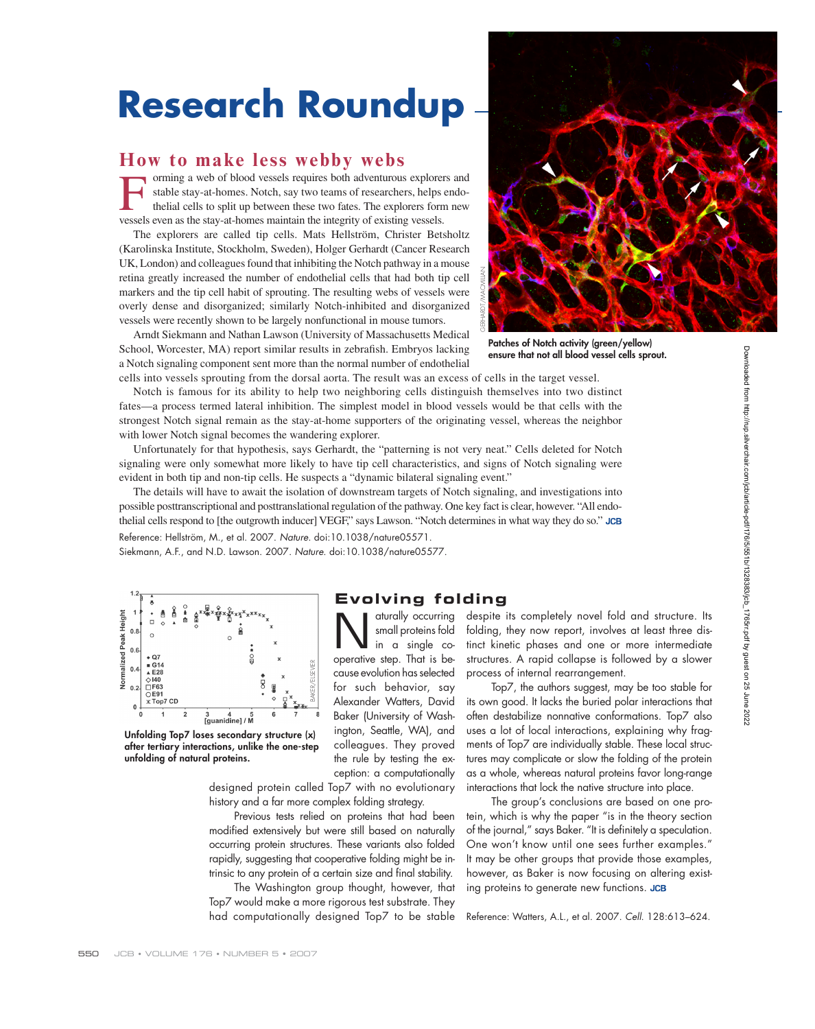# **Research Roundup**

### **How to make less webby webs**

Forming a web of blood vessels requires both adventurous explorers and stable stay-at-homes. Notch, say two teams of researchers, helps endo-<br>thelial cells to split up between these two fates. The explorers form new<br>vessel stable stay-at-homes. Notch, say two teams of researchers, helps endothelial cells to split up between these two fates. The explorers form new vessels even as the stay-at-homes maintain the integrity of existing vessels.

The explorers are called tip cells. Mats Hellström, Christer Betsholtz (Karolinska Institute, Stockholm, Sweden), Holger Gerhardt (Cancer Research UK, London) and colleagues found that inhibiting the Notch pathway in a mouse retina greatly increased the number of endothelial cells that had both tip cell markers and the tip cell habit of sprouting. The resulting webs of vessels were overly dense and disorganized; similarly Notch-inhibited and disorganized vessels were recently shown to be largely nonfunctional in mouse tumors.

Arndt Siekmann and Nathan Lawson (University of Massachusetts Medical School, Worcester, MA) report similar results in zebrafish. Embryos lacking a Notch signaling component sent more than the normal number of endothelial



**Patches of Notch activity (green/yellow) ensure that not all blood vessel cells sprout.**

cells into vessels sprouting from the dorsal aorta. The result was an excess of cells in the target vessel. Notch is famous for its ability to help two neighboring cells distinguish themselves into two distinct fates—a process termed lateral inhibition. The simplest model in blood vessels would be that cells with the strongest Notch signal remain as the stay-at-home supporters of the originating vessel, whereas the neighbor with lower Notch signal becomes the wandering explorer.

Unfortunately for that hypothesis, says Gerhardt, the "patterning is not very neat." Cells deleted for Notch signaling were only somewhat more likely to have tip cell characteristics, and signs of Notch signaling were evident in both tip and non-tip cells. He suspects a "dynamic bilateral signaling event."

The details will have to await the isolation of downstream targets of Notch signaling, and investigations into possible posttranscriptional and posttranslational regulation of the pathway. One key fact is clear, however. "All endothe lial cells respond to [the outgrowth inducer] VEGF," says Lawson. "Notch determines in what way they do so." JCB

Reference: Hellström, M., et al. 2007. Nature. doi:10.1038/nature05571. Siekmann, A.F., and N.D. Lawson. 2007. Nature. doi:10.1038/nature05577.



**Unfolding Top7 loses secondary structure (x) after tertiary interactions, unlike the one-step unfolding of natural proteins.**

designed protein called Top7 with no evolutionary history and a far more complex folding strategy.

Previous tests relied on proteins that had been modified extensively but were still based on naturally occurring protein structures. These variants also folded rapidly, suggesting that cooperative folding might be intrinsic to any protein of a certain size and final stability.

The Washington group thought, however, that Top7 would make a more rigorous test substrate. They had computationally designed Top7 to be stable

#### **Evolving folding**

Baker (University of Washington, Seattle, WA), and colleagues. They proved the rule by testing the exception: a computationally

 $\sum_{\substack{\text{and} \\ \text{in } \alpha \text{ single } \\ \text{concentration} \\ \text{that is the } \\ \text{in } \beta}} \text{atually occurring}$ small proteins fold operative step. That is because evolution has selected for such behavior, say Alex ander Watters, David despite its completely novel fold and structure. Its folding, they now report, involves at least three distinct kinetic phases and one or more intermediate structures. A rapid collapse is followed by a slower process of internal rearrangement. Top7, the authors suggest, may be too stable for

its own good. It lacks the buried polar interactions that often destabilize nonnative conformations. Top7 also uses a lot of local interactions, explaining why fragments of Top7 are individually stable. These local structures may complicate or slow the folding of the protein as a whole, whereas natural proteins favor long-range interactions that lock the native structure into place.

The group's conclusions are based on one protein, which is why the paper "is in the theory section of the journal," says Baker. "It is definitely a speculation. One won't know until one sees further examples." It may be other groups that provide those examples, however, as Baker is now focusing on altering existing proteins to generate new functions. JCB

Reference: Watters, A.L., et al. 2007. Cell. 128:613–624.